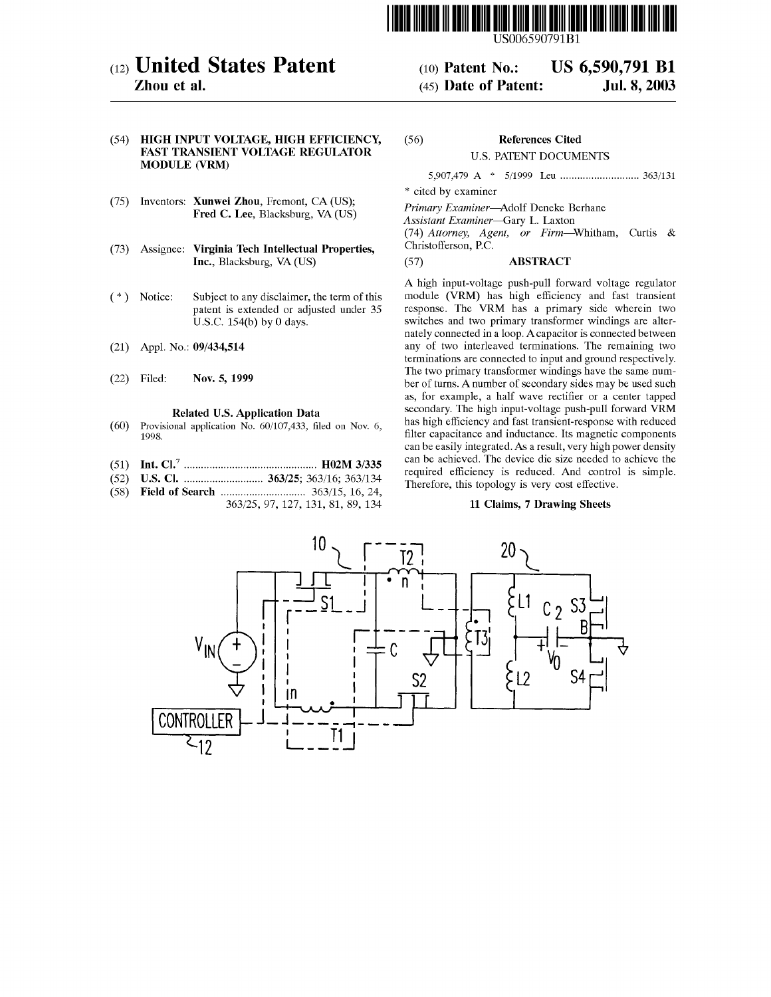

# (12) United States Patent

Zhou et al.

#### (54) HIGH INPUT VOLTAGE, HIGH EFFICIENCY, FAST TRANSIENT VOLTAGE REGULATOR MODULE (VRM)

- (75) Inventors: Xunwei Zhou, Fremont, CA (US); Fred C. Lee, Blacksburg, VA (US)
- (73) Assignee: Virginia Tech Intellectual Properties, Inc., Blacksburg, VA (US)
- $(*)$ Notice: Subject to any disclaimer, the term of this patent is extended or adjusted under 35 U.S.C. 154(b) by 0 days.
- (21) Appl. No.: 09/434,514
- (22) Filed: Nov. 5, 1999

#### Related US. Application Data

- Provisional application No. 60/107,433, filed on Nov. 6, (60) Provi<br>1998.
- Int. Cl.7 ............................................... H02M 3/335 (58) (51)
- US. Cl. .............. . 363/25; 363/16; 363/134 (52)
- Field of Search 363/15, 16, 24, 363/25, 97, 127, 131, 81, 89, 134

## U.S. PATENT DOCUMENTS

5,907,479 A \* 5/1999 Leu 363/131

References Cited

(10) Patent No.: US 6,590,791 B1<br>(45) Date of Patent: Jul. 8, 2003

\* cited by examiner

(56)

Primary Examiner—Adolf Deneke Berhane

Assistant Examiner—Gary L. Laxton

(45) Date of Patent:

(74) Attorney, Agent, or Firm—Whitham, Curtis & Christofferson, RC.

#### (57) ABSTRACT

A high input-voltage push-pull forward voltage regulator module (VRM) has high efficiency and fast transient response. The VRM has <sup>a</sup> primary side wherein two switches and two primary transformer windings are alternately connected in a loop. Acapacitor is connected between any of two interleaved terminations. The remaining two terminations are connected to input and ground respectively. The two primary transformer windings have the same number of turns. A number of secondary sides may be used such as, for example, a half wave rectifier or a center tapped secondary. The high input-voltage push-pull forward VRM has high efficiency and fast transient-response with reduced filter capacitance and inductance. Its magnetic components can be easily integrated. As <sup>a</sup> result, very high power density can be achieved. The device die size needed to achieve the required efficiency is reduced. And control is simple. Therefore, this topology is very cost effective.

#### 11 Claims, 7 Drawing Sheets

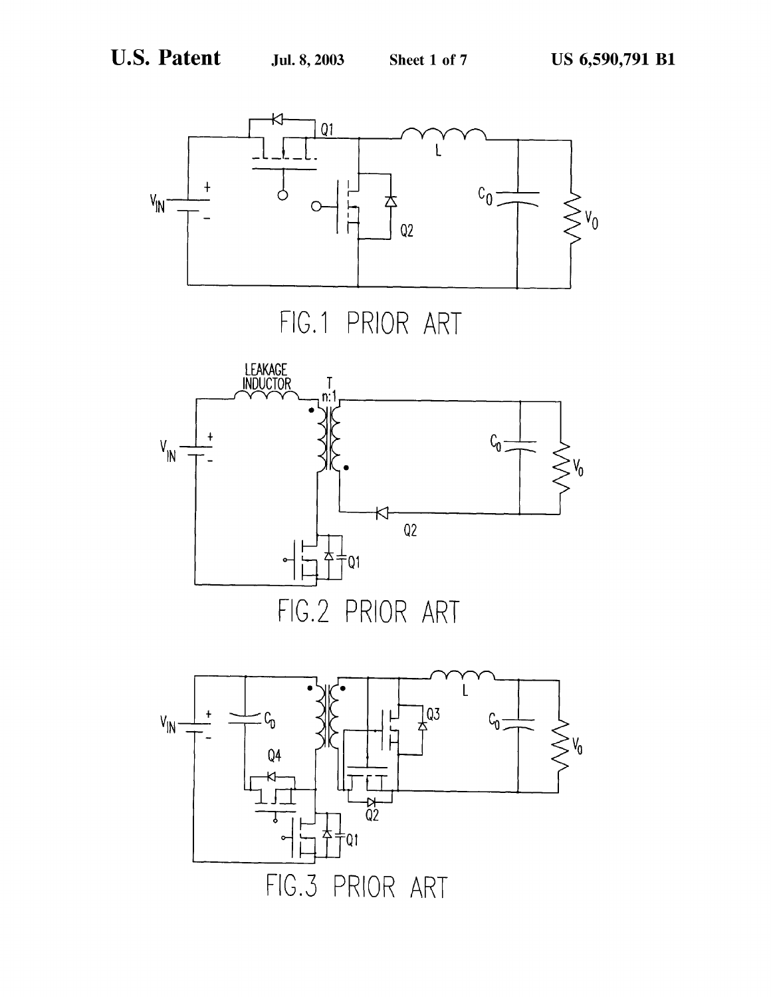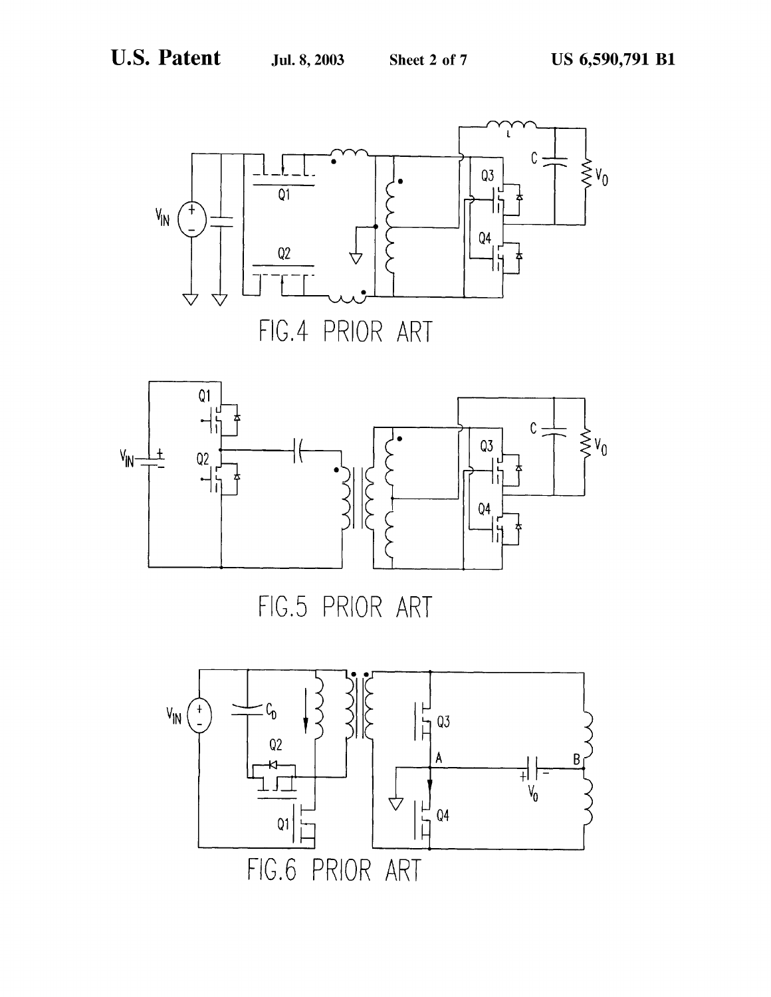



FIG.5 PRIOR ART

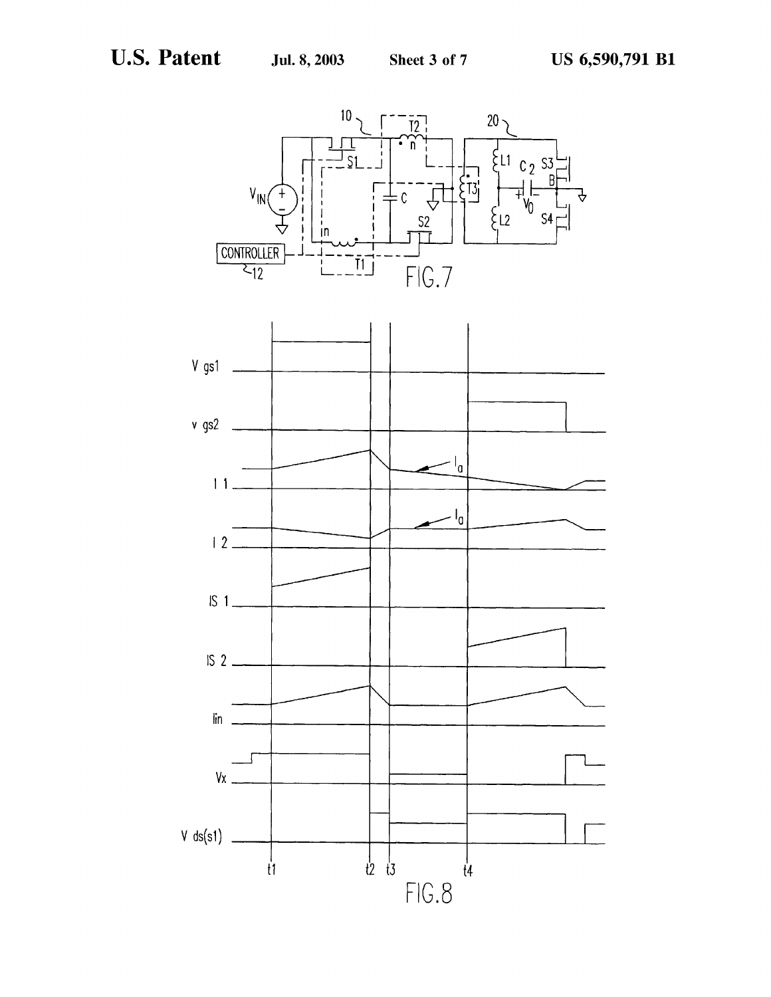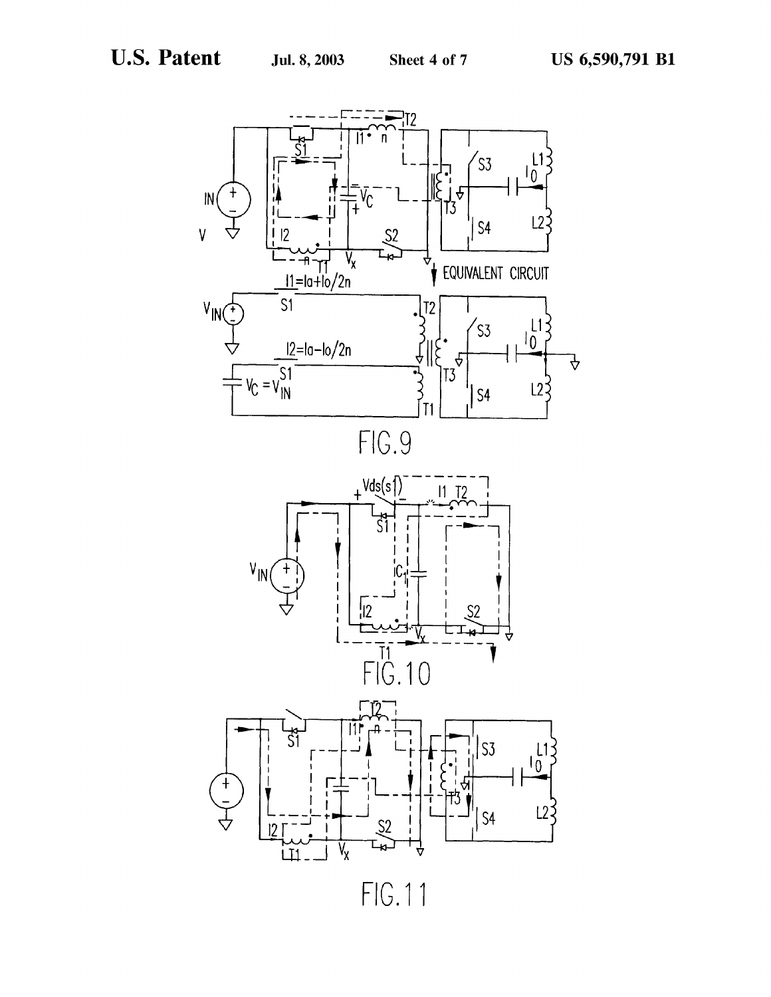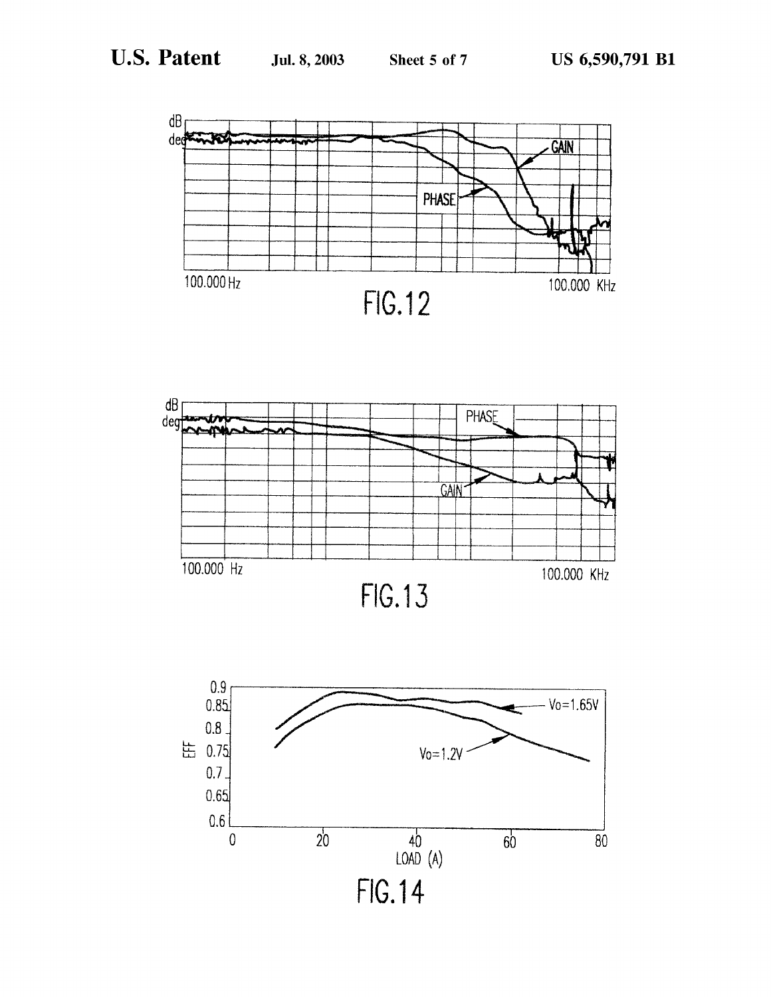





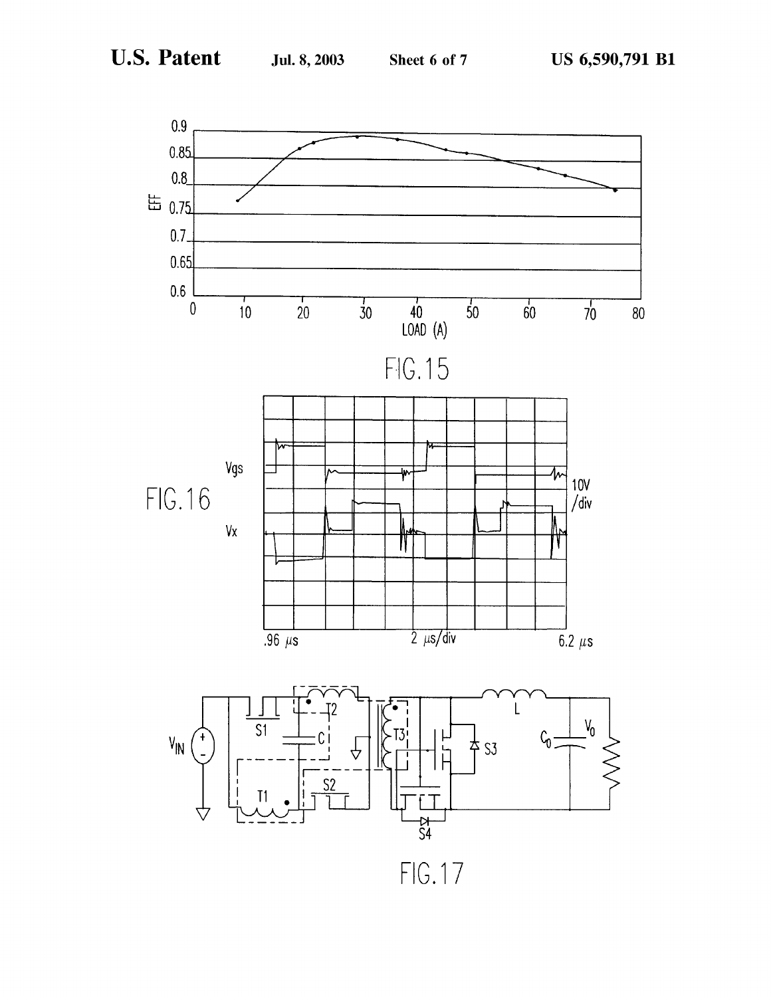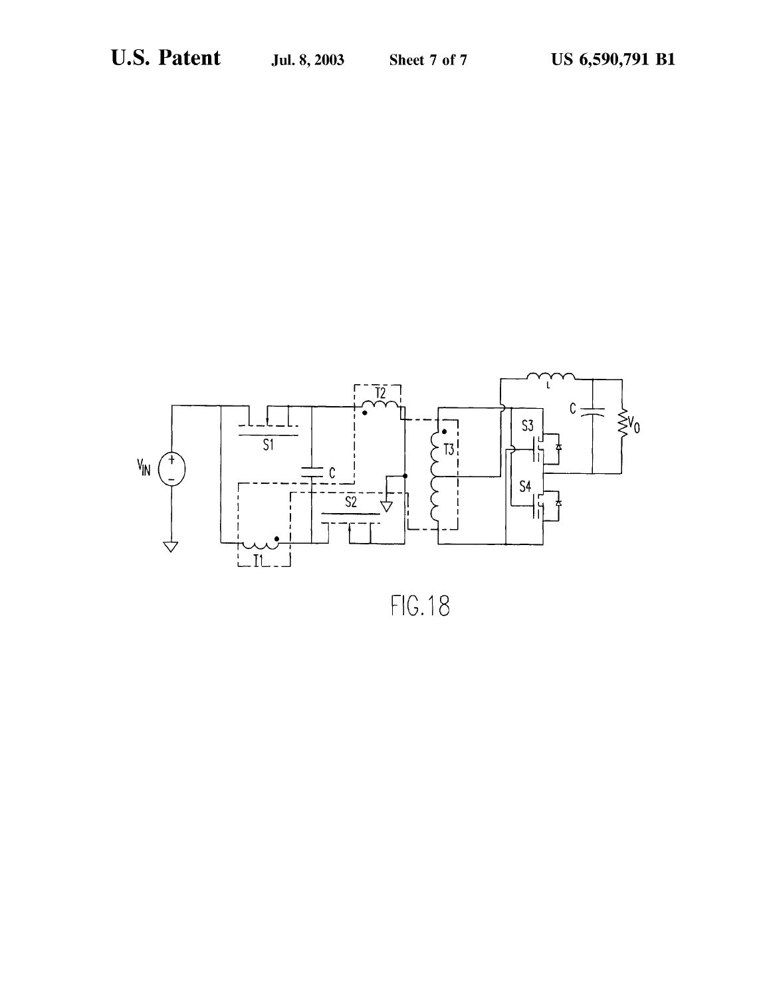

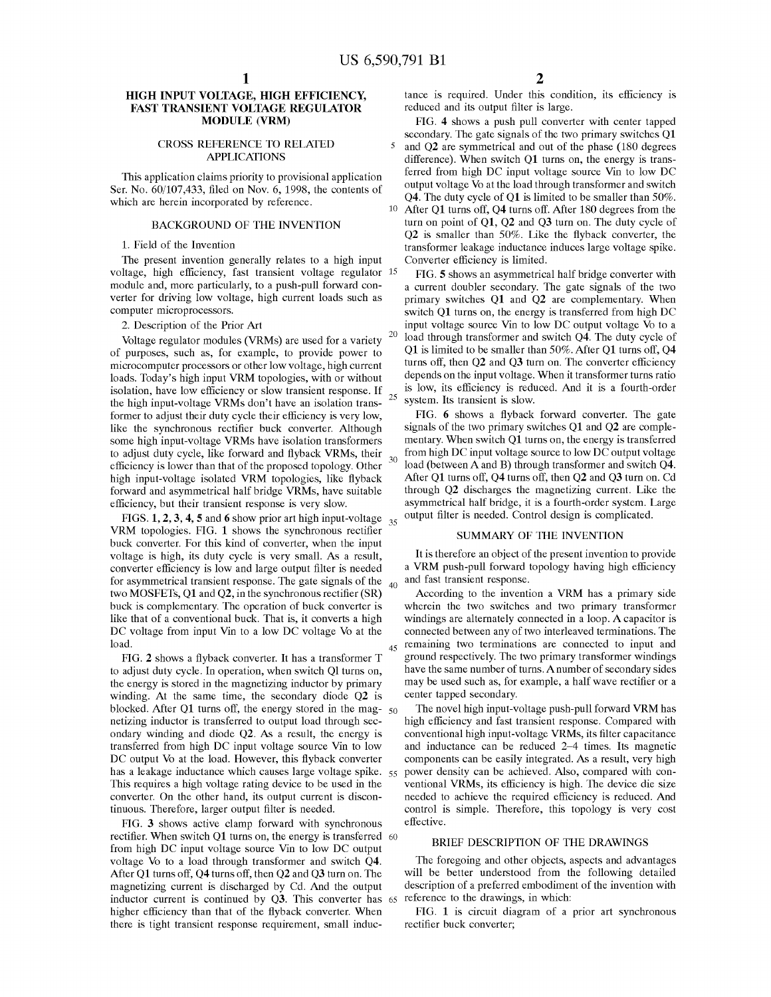25

#### HIGH INPUT VOLTAGE, HIGH EFFICIENCY, FAST TRANSIENT VOLTAGE REGULATOR MODULE (VRM)

#### CROSS REFERENCE TO RELATED APPLICATIONS

This application claims priority to provisional application Ser. No. 60/107,433, filed on Nov. 6, 1998, the contents of which are herein incorporated by reference.

### BACKGROUND OF THE INVENTION

#### 1. Field of the Invention

The present invention generally relates to a high input voltage, high efficiency, fast transient voltage regulator 15 module and, more particularly, to a push-pull forward converter for driving low voltage, high current loads such as computer microprocessors.

2. Description of the Prior Art

20 Voltage regulator modules (VRMs) are used for <sup>a</sup> variety of purposes, such as, for example, to provide power to microcomputer processors or other low voltage, high current loads. Today's high input VRM topologies, with or without isolation, have low efficiency or slow transient response. If the high input-voltage VRMs don't have an isolation transformer to adjust their duty cycle their efficiency is very low, like the synchronous rectifier buck converter. Although some high input-voltage VRMs have isolation transformers to adjust duty cycle, like forward and fiyback VRMs, their  $30^{\circ}$ efficiency is lower than that of the proposed topology. Other high input-voltage isolated VRM topologies, like fiyback forward and asymmetrical half bridge VRMs, have suitable efficiency, but their transient response is very slow.

FIGS. 1, 2, 3, 4, 5 and 6 show prior art high input-voltage  $_{35}$ VRM topologies. FIG. <sup>1</sup> shows the synchronous rectifier buck converter. For this kind of converter, when the input voltage is high, its duty cycle is very small. As <sup>a</sup> result, converter efficiency is low and large output filter is needed for asymmetrical transient response. The gate signals of the  $_{40}$ two MOSFETs, Q1 and Q2, in the synchronous rectifier (SR) buck is complementary. The operation of buck converter is like that of a conventional buck. That is, it converts a high DC voltage from input Vin to <sup>a</sup> low DC voltage Vo at the load.

FIG. 2 shows <sup>a</sup> fiyback converter. It has <sup>a</sup> transformer T to adjust duty cycle. In operation, when switch Ql turns on, the energy is stored in the magnetizing inductor by primary winding. At the same time, the secondary diode Q2 is blocked. After Q1 turns off, the energy stored in the mag- $_{50}$ netizing inductor is transferred to output load through secondary winding and diode Q2. As <sup>a</sup> result, the energy is transferred from high DC input voltage source Vin to low DC output Vo at the load. However, this flyback converter has a leakage inductance which causes large voltage spike. This requires a high voltage rating device to be used in the converter. On the other hand, its output current is discontinuous. Therefore, larger output filter is needed. 55

FIG. 3 shows active clamp forward with synchronous rectifier. When switch O1 turns on, the energy is transferred 60 from high DC input voltage source Vin to low DC output voltage V0 to a load through transformer and switch Q4. After Q1 turns off, Q4 turns off, then Q2 and Q3 turn on. The magnetizing current is discharged by Cd. And the output inductor current is continued by  $\overrightarrow{O3}$ . This converter has  $\overrightarrow{65}$  reference to the drawings, in which: higher efficiency than that of the fiyback converter. When there is tight transient response requirement, small induc-

tance is required. Under this condition, its efficiency is reduced and its output filter is large.

FIG. 4 shows a push pull converter with center tapped secondary. The gate signals of the two primary switches Q1

 $\overline{5}$ and Q2 are symmetrical and out of the phase (180 degrees difference). When switch Q1 turns on, the energy is transferred from high DC input voltage source Vin to low DC output voltage Vo at the load through transformer and switch Q4. The duty cycle of Q1 is limited to be smaller than 50%. 10 After Q1 turns off, Q4 turns off. After 180 degrees from the turn on point of Q1, Q2 and Q3 turn on. The duty cycle of Q2 is smaller than 50%. Like the fiyback converter, the transformer leakage inductance induces large voltage spike.

Converter efficiency is limited.

FIG. 5 shows an asymmetrical half bridge converter with a current doubler secondary. The gate signals of the two primary switches Q1 and Q2 are complementary. When switch Q1 turns on, the energy is transferred from high DC input voltage source Vin to low DC output voltage Vo to a load through transformer and switch Q4. The duty cycle of Q1 is limited to be smaller than 50%. After Q1 turns off, Q4 turns off, then Q2 and Q3 turn on. The converter efficiency depends on the input voltage. When it transformer turns ratio is low, its efficiency is reduced. And it is <sup>a</sup> fourth-order system. Its transient is slow.

FIG. 6 shows a fiyback forward converter. The gate signals of the two primary switches Q1 and Q2 are complementary. When switch Q1 turns on, the energy is transferred from high DC input voltage source to low DC output voltage load (between A and B) through transformer and switch Q4. After Q1 turns off, Q4 turns off, then Q2 and Q3 turn on. Cd through Q2 discharges the magnetizing current. Like the asymmetrical half bridge, it is a fourth-order system. Large output filter is needed. Control design is complicated.

#### SUMMARY OF THE INVENTION

It is therefore an object of the present invention to provide <sup>a</sup> VRM push-pull forward topology having high efficiency and fast transient response.

<sub>45</sub> remaining two terminations are connected to input and According to the invention <sup>a</sup> VRM has <sup>a</sup> primary side wherein the two switches and two primary transformer windings are alternately connected in <sup>a</sup> loop. A capacitor is connected between any of two interleaved terminations. The ground respectively. The two primary transformer windings have the same number of turns. Anumber of secondary sides may be used such as, for example, <sup>a</sup> half wave rectifier or <sup>a</sup> center tapped secondary.

The novel high input-voltage push-pull forward VRM has high efficiency and fast transient response. Compared with conventional high input-voltage VRMs, its filter capacitance and inductance can be reduced 2—4 times. Its magnetic components can be easily integrated. As <sup>a</sup> result, very high power density can be achieved. Also, compared with conventional VRMs, its efficiency is high. The device die size needed to achieve the required efficiency is reduced. And control is simple. Therefore, this topology is very cost effective.

#### BRIEF DESCRIPTION OF THE DRAWINGS

The foregoing and other objects, aspects and advantages will be better understood from the following detailed description of a preferred embodiment of the invention with

FIG. 1 is circuit diagram of a prior art synchronous rectifier buck converter;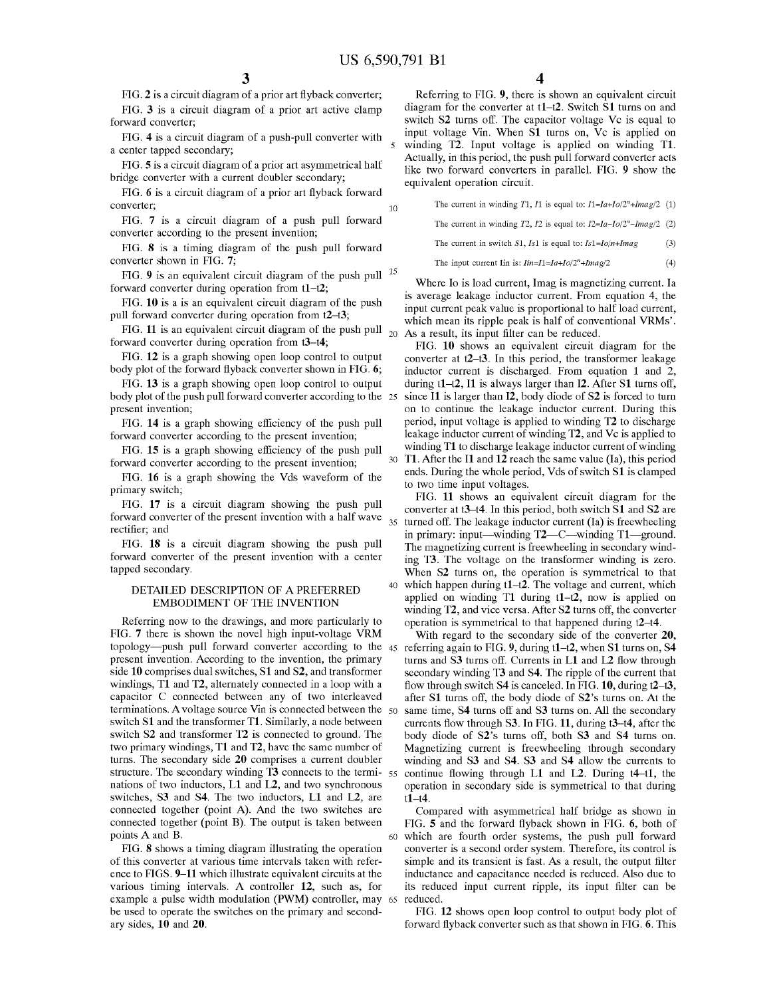10

40

FIG. 2 is a circuit diagram of a prior art fiyback converter; FIG. 3 is a circuit diagram of a prior art active clamp

forward converter; FIG. 4 is a circuit diagram of a push-pull converter with a center tapped secondary;

FIG. 5 is a circuit diagram of a prior art asymmetrical half bridge converter with a current doubler secondary;

FIG. 6 is a circuit diagram of a prior art fiyback forward converter;

FIG. 7 is a circuit diagram of a push pull forward converter according to the present invention;

FIG. 8 is a timing diagram of the push pull forward converter shown in FIG. 7;

FIG. 9 is an equivalent circuit diagram of the push pull  $15$ forward converter during operation from t1—t2;

FIG. 10 is a is an equivalent circuit diagram of the push pull forward converter during operation from t2—t3;

FIG. 11 is an equivalent circuit diagram of the push pull  $_{20}$  As a result, its input filter can be reduced. forward converter during operation from t3—t4;

FIG. 12 is a graph showing open loop control to output body plot of the forward flyback converter shown in FIG. 6;

FIG. 13 is a graph showing open loop control to output body plot of the push pull forward converter according to the 25 present invention;

FIG. 14 is a graph showing efficiency of the push pull forward converter according to the present invention;

FIG. 15 is a graph showing efficiency of the push pull forward converter according to the present invention;

FIG. 16 is a graph showing the Vds waveform of the primary switch;

FIG. 17 is a circuit diagram showing the push pull forward converter of the present invention with a half wave  $\frac{1}{35}$  turned off. The leakage inductor current (Ia) is freewheeling rectifier; and

FIG. 18 is a circuit diagram showing the push pull forward converter of the present invention with a center tapped secondary.

#### DETAILED DESCRIPTION OF A PREFERRED EMBODIMENT OF THE INVENTION

Referring now to the drawings, and more particularly to FIG. <sup>7</sup> there is shown the novel high input-voltage VRM topology—push pull forward converter according to the 45 referring again to FIG. 9, during  $11-12$ , when S1 turns on, S4 present invention. According to the invention, the primary side 10 comprises dual switches, SI and S2, and transformer windings, T1 and T2, alternately connected in a loop with a capacitor C connected between any of two interleaved terminations. A voltage source Vin is connected between the 50 switch SI and the transformer T1. Similarly, a node between switch S2 and transformer T2 is connected to ground. The two primary windings, T1 and T2, have the same number of turns. The secondary side 20 comprises a current doubler structure. The secondary winding T3 connects to the terminations of two inductors, L1 and L2, and two synchronous switches, S3 and S4. The two inductors, L1 and L2, are connected together (point A). And the two switches are connected together (point B). The output is taken between points A and B.

FIG. 8 shows a timing diagram illustrating the operation of this converter at various time intervals taken with reference to FIGS. 9—11 which illustrate equivalent circuits at the various timing intervals. A controller 12, such as, for example a pulse width modulation (PWM) controller, may 65 be used to operate the switches on the primary and secondary sides, 10 and 20.

Referring to FIG. 9, there is shown an equivalent circuit diagram for the converter at t1–t2. Switch S1 turns on and switch S2 turns off. The capacitor voltage Vc is equal to input voltage Vin. When Sl turns on, Vc is applied on winding T2. Input voltage is applied on winding T1. Actually, in this period, the push pull forward converter acts like two forward converters in parallel. FIG. 9 show the equivalent operation circuit.

The current in winding T1, I1 is equal to:  $I1 = Ia + Io/2^n + Imag/2$  (1)

The current in winding  $T2$ ,  $I2$  is equal to:  $I2=Ia-Io/2<sup>n</sup>-Imag/2$  (2)

(3) The current in switch  $S1$ ,  $Is1$  is equal to:  $Is1=Io/n+Imag$ 

 $(4)$ The input current Iin is:  $Iin=I1=Ia+Io/2<sup>n</sup>+Imag/2$ 

Where Io is load current, Imag is magnetizing current. Ia is average leakage inductor current. From equation 4, the input current peak value is proportional to half load current, which mean its ripple peak is half of conventional VRMs'.

30 T1. After the I1 and  $12$  reach the same value (Ia), this period FIG. 10 shows an equivalent circuit diagram for the converter at t2—t3. In this period, the transformer leakage inductor current is discharged. From equation <sup>1</sup> and 2, during  $t1-t2$ , I1 is always larger than I2. After S1 turns off, since 11 is larger than I2, body diode of S2 is forced to turn on to continue the leakage inductor current. During this period, input voltage is applied to winding T2 to discharge leakage inductor current of winding T2, and Vc is applied to winding T1 to discharge leakage inductor current of winding ends. During the whole period, Vds of switch \$1 is clamped to two time input voltages.

FIG. 11 shows an equivalent circuit diagram for the converter at t3—t4. In this period, both switch SI and S2 are in primary: input—winding T2—C—winding T1—ground. The magnetizing current is freewheeling in secondary winding T3. The voltage on the transformer winding is zero. When S2 turns on, the operation is symmetrical to that which happen during t1–t2. The voltage and current, which applied on winding T1 during t1—t2, now is applied on winding T2, and vice versa. After S2 turns off, the converter operation is symmetrical to that happened during t2—t4.

55 continue flowing through L1 and L2. During t4—t1, the With regard to the secondary side of the converter 20, turns and S3 turns off. Currents in L1 and L2 flow through secondary winding T3 and S4. The ripple of the current that flow through switch  $S4$  is canceled. In FIG. 10, during  $t2-t3$ , after Sl turns off, the body diode of 82's turns on. At the same time, S4 turns off and S3 turns on. All the secondary currents flow through S3. In FIG. 11, during t3—t4, after the body diode of 82's turns off, both S3 and S4 turns on. Magnetizing current is freewheeling through secondary winding and S3 and S4. S3 and S4 allow the currents to operation in secondary side is symmetrical to that during t1—t4.

60 which are fourth order systems, the push pull forward Compared with asymmetrical half bridge as shown in FIG. 5 and the forward flyback shown in FIG. 6, both of converter is a second order system. Therefore, its control is simple and its transient is fast. As <sup>a</sup> result, the output filter inductance and capacitance needed is reduced. Also due to its reduced input current ripple, its input filter can be reduced.

FIG. 12 shows open loop control to output body plot of forward flyback converter such as that shown in FIG. 6. This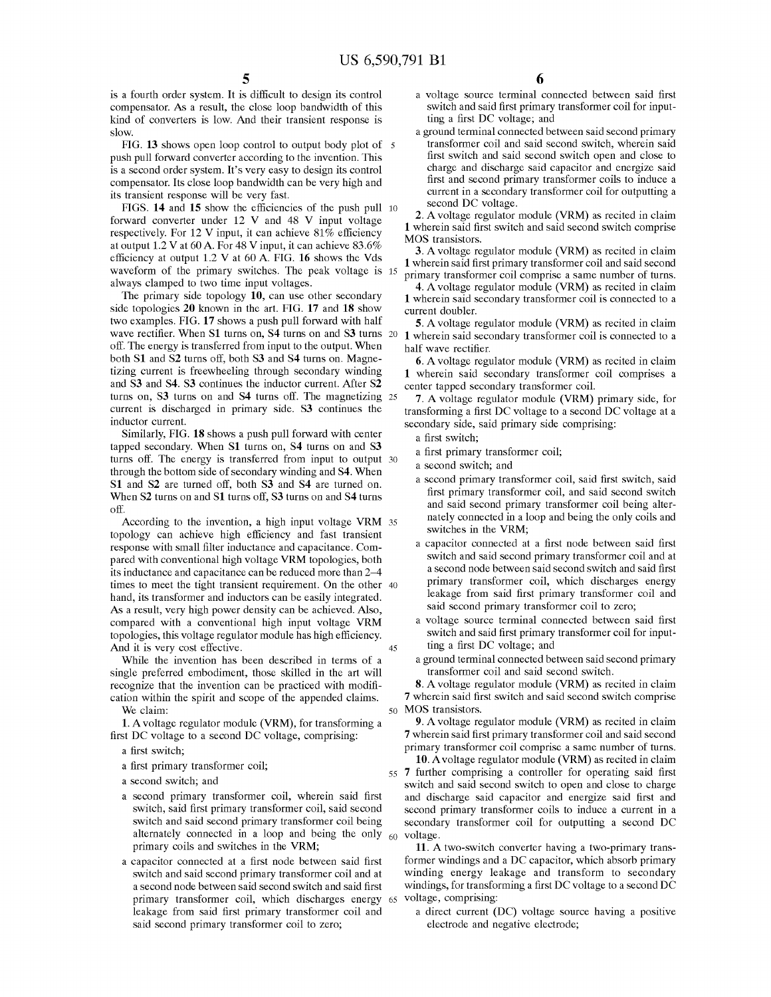is a fourth order system. It is difficult to design its control compensator. As <sup>a</sup> result, the close loop bandwidth of this kind of converters is low. And their transient response is slow.

FIG. 13 shows open loop control to output body plot of 5 push pull forward converter according to the invention. This is a second order system. It's very easy to design its control compensator. Its close loop bandwidth can be very high and its transient response will be very fast.

FIGS. 14 and 15 show the efficiencies of the push pull 10 forward converter under <sup>12</sup> V and <sup>48</sup> V input voltage respectively. For <sup>12</sup> V input, it can achieve 81% efficiency at output 1.2 V at <sup>60</sup> A. For <sup>48</sup> V input, it can achieve 83.6% efficiency at output 1.2 V at <sup>60</sup> A. FIG. <sup>16</sup> shows the Vds waveform of the primary switches. The peak voltage is 15 always clamped to two time input voltages.

The primary side topology 10, can use other secondary side topologies 20 known in the art. FIG. 17 and 18 show two examples. FIG. 17 shows a push pull forward with half wave rectifier. When S1 turns on, S4 turns on and S3 turns 20 1 wherein said secondary transformer coil is connected to a off. The energy is transferred from input to the output. When both S1 and S2 turns off, both S3 and S4 turns on. Magnetizing current is freewheeling through secondary winding and S3 and S4. S3 continues the inductor current. After SZ turns on, S3 turns on and S4 turns off. The magnetizing  $25$ current is discharged in primary side. S3 continues the inductor current.

Similarly, FIG. 18 shows a push pull forward with center tapped secondary. When S1 turns on, S4 turns on and S3 turns off. The energy is transferred from input to output 30 through the bottom side of secondary winding and S4. When S1 and S2 are turned off, both S3 and S4 are turned on. When S2 turns on and S1 turns off, S3 turns on and S4 turns off.

According to the invention, <sup>a</sup> high input voltage VRM 35 topology can achieve high efficiency and fast transient response with small filter inductance and capacitance. Compared with conventional high voltage VRM topologies, both its inductance and capacitance can be reduced more than 2—4 times to meet the tight transient requirement. On the other 40 hand, its transformer and inductors can be easily integrated. As <sup>a</sup> result, very high power density can be achieved. Also, compared with <sup>a</sup> conventional high input voltage VRM topologies, this voltage regulator module has high efficiency. And it is very cost effective. 45

While the invention has been described in terms of a single preferred embodiment, those skilled in the art will recognize that the invention can be practiced with modification within the spirit and scope of the appended claims. We claim:

1. Avoltage regulator module (VRM), for transforming a first DC voltage to <sup>a</sup> second DC voltage, comprising:

- a first switch;
- a first primary transformer coil;
- a second switch; and
- a second primary transformer coil, wherein said first switch, said first primary transformer coil, said second switch and said second primary transformer coil being alternately connected in a loop and being the only primary coils and switches in the VRM;
- a capacitor connected at a first node between said first switch and said second primary transformer coil and at a second node between said second switch and said first primary transformer coil, which discharges energy 65 voltage, comprising: leakage from said first primary transformer coil and said second primary transformer coil to zero;
- a voltage source terminal connected between said first switch and said first primary transformer coil for inputting <sup>a</sup> first DC voltage; and
- a ground terminal connected between said second primary transformer coil and said second switch, wherein said first switch and said second switch open and close to charge and discharge said capacitor and energize said first and second primary transformer coils to induce a current in a secondary transformer coil for outputting a second DC voltage.

2. Avoltage regulator module (VRM) as recited in claim 1 wherein said first switch and said second switch comprise MOS transistors.

3. Avoltage regulator module (VRM) as recited in claim 1 wherein said first primary transformer coil and said second primary transformer coil comprise a same number of turns.

4. Avoltage regulator module (VRM) as recited in claim 1 wherein said secondary transformer coil is connected to a current doubler.

5. Avoltage regulator module (VRM) as recited in claim half wave rectifier.

6. Avoltage regulator module (VRM) as recited in claim 1 wherein said secondary transformer coil comprises a center tapped secondary transformer coil.

7. A voltage regulator module (VRM) primary side, for transforming <sup>a</sup> first DC voltage to <sup>a</sup> second DC voltage at <sup>a</sup> secondary side, said primary side comprising:

a first switch;

60

- a first primary transformer coil;
- a second switch; and
- a second primary transformer coil, said first switch, said first primary transformer coil, and said second switch and said second primary transformer coil being alternately connected in a loop and being the only coils and switches in the VRM;
- a capacitor connected at a first node between said first switch and said second primary transformer coil and at a second node between said second switch and said first primary transformer coil, which discharges energy leakage from said first primary transformer coil and said second primary transformer coil to zero;
- a voltage source terminal connected between said first switch and said first primary transformer coil for inputting <sup>a</sup> first DC voltage; and
- a ground terminal connected between said second primary transformer coil and said second switch.

<sub>50</sub> MOS transistors. 8. Avoltage regulator module (VRM) as recited in claim 7 wherein said first switch and said second switch comprise

9. Avoltage regulator module (VRM) as recited in claim 7 wherein said first primary transformer coil and said second primary transformer coil comprise a same number of turns.

55 7 further comprising a controller for operating said first 10. Avoltage regulator module (VRM) as recited in claim switch and said second switch to open and close to charge and discharge said capacitor and energize said first and second primary transformer coils to induce a current in a secondary transformer coil for outputting <sup>a</sup> second DC voltage.

11. A two-switch converter having <sup>a</sup> two-primary transformer windings and <sup>a</sup> DC capacitor, which absorb primary winding energy leakage and transform to secondary windings, for transforming <sup>a</sup> first DC voltage to <sup>a</sup> second DC

a direct current (DC) voltage source having a positive electrode and negative electrode;